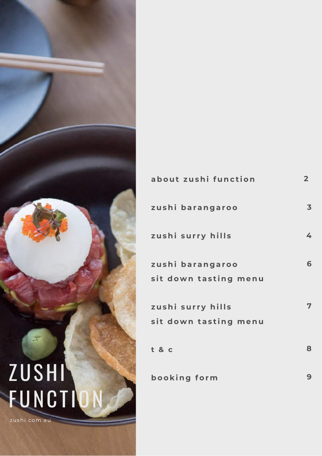

| about zushi function                       | 2 <sub>1</sub> |
|--------------------------------------------|----------------|
| zushi barangaroo                           | 3              |
| zushi surry hills                          | 4              |
| zushi barangaroo<br>sit down tasting menu  | 6              |
| zushi surry hills<br>sit down tasting menu | 7              |
| t &c                                       | 8              |
| booking form                               | 9              |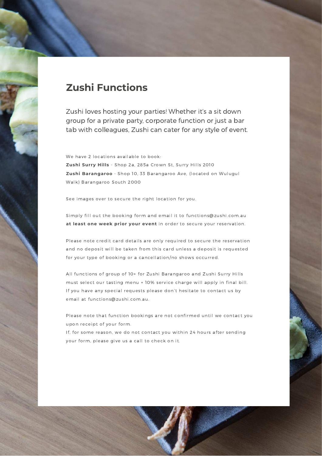#### **Zushi Functions**

Zushi loves hosting your parties! Whether it's a sit down group for a private party, corporate function or just a bar tab with colleagues, Zushi can cater for any style of event.

We have 2 locations available to book: **Zushi Surry Hills** - Shop 2a, 285a Crown St, Surry Hills 2010 **Zushi Barangaroo** - Shop 10, 33 Barangaroo Ave, (located on Wulugul Walk) Barangaroo South 2000

See images over to secure the right location for you.

Simply fill out the booking form and email it to functions@zushi.com.au **at least one week prior your event** in order to secure your reservation.

Please note credit card details are only required to secure the reservation and no deposit will be taken from this card unless a deposit is requested for your type of booking or a cancellation/no shows occurred.

All functions of group of 10+ for Zushi Barangaroo and Zushi Surry Hills must select our tasting menu + 10% service charge will apply in final bill. If you have any special requests please don't hesitate to contact us by email at functions@zushi.com.au.

Please note that function bookings are not confirmed until we contact you upon receipt of your form.

If, for some reason, we do not contact you within 24 hours after sending your form, please give us a call to check on it.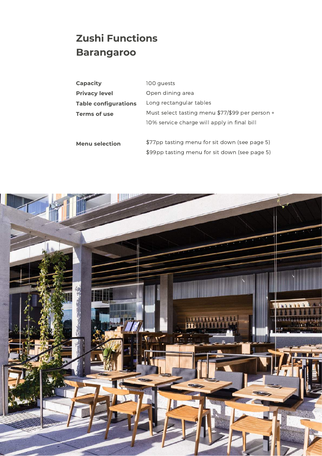## **Zushi Functions Barangaroo**

| <b>Capacity</b>             | 100 guests                                      |
|-----------------------------|-------------------------------------------------|
| <b>Privacy level</b>        | Open dining area                                |
| <b>Table configurations</b> | Long rectangular tables                         |
| Terms of use                | Must select tasting menu \$77/\$99 per person + |
|                             | 10% service charge will apply in final bill     |
|                             |                                                 |
| <b>Menu selection</b>       | \$77pp tasting menu for sit down (see page 5)   |
|                             | \$99pp tasting menu for sit down (see page 5)   |

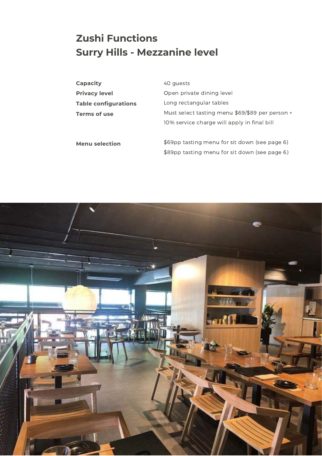### **Zushi Functions Surry Hills - Mezzanine level**

| <b>Capacity</b>             | 40 guests                                       |
|-----------------------------|-------------------------------------------------|
| <b>Privacy level</b>        | Open private dining level                       |
| <b>Table configurations</b> | Long rectangular tables                         |
| Terms of use                | Must select tasting menu \$69/\$89 per person + |
|                             | 10% service charge will apply in final bill     |
| <b>Menu selection</b>       | \$69pp tasting menu for sit down (see page 6)   |

\$89pp tasting menu for sit down (see page 6)

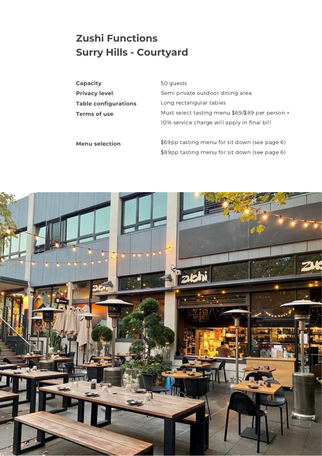## **Zushi Functions Surry Hills - Courtyard**

| <b>Capacity</b>             | 50 guests                                       |
|-----------------------------|-------------------------------------------------|
| <b>Privacy level</b>        | Semi private outdoor dining area                |
| <b>Table configurations</b> | Long rectangular tables                         |
| Terms of use                | Must select tasting menu \$69/\$89 per person + |
|                             | 10% service charge will apply in final bill     |
| <b>Menu selection</b>       | \$69pp tasting menu for sit down (see page 6)   |
|                             | \$89pp tasting menu for sit down (see page 6)   |

![](_page_4_Picture_2.jpeg)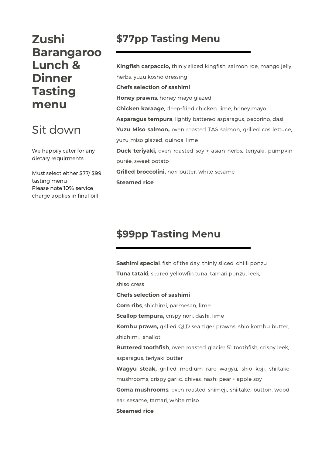### **Zushi Barangaroo Lunch & Dinner Tasting menu**

## Sit down

We happily cater for any dietary requirments

Must select either \$77/ \$99 tasting menu Please note 10% service charge applies in final bill

#### **\$77pp Tasting Menu**

**Kingfish carpaccio,** thinly sliced kingfish, salmon roe, mango jelly, herbs, yuzu kosho dressing **Chefs selection of sashimi Honey prawns**, honey mayo glazed **Chicken karaage**, deep-fried chicken, lime, honey mayo **Asparagus tempura**, lightly battered asparagus, pecorino, dasi **Yuzu Miso salmon,** oven roasted TAS salmon, grilled cos lettuce, yuzu miso glazed, quinoa, lime **Duck teriyaki,** oven roasted soy + asian herbs, teriyaki, pumpkin purée, sweet potato **Grilled broccolini,** nori butter, white sesame **Steamed rice**

#### **\$99pp Tasting Menu**

**Sashimi special**, fish of the day, thinly sliced, chilli ponzu **Tuna tataki**, seared yellowfin tuna, tamari ponzu, leek,

shiso cress

**Chefs selection of sashimi**

**Corn ribs**, shichimi, parmesan, lime

**Scallop tempura,** crispy nori, dashi, lime

**Kombu prawn,** grilled QLD sea tiger prawns, shio kombu butter, shichimi, shallot

**Buttered toothfish**, oven roasted glacier 51 toothfish, crispy leek, asparagus, teriyaki butter

**Wagyu steak,** grilled medium rare wagyu, shio koji, shiitake mushrooms, crispy garlic, chives, nashi pear + apple soy

**Goma mushrooms**, oven roasted shimeji, shiitake, button, wood ear, sesame, tamari, white miso

**Steamed rice**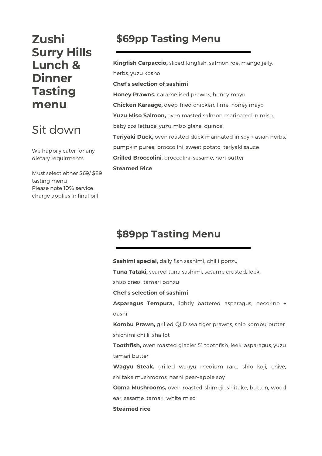### **Zushi Surry Hills Lunch & Dinner Tasting menu**

## Sit down

We happily cater for any dietary requirments

Must select either \$69/ \$89 tasting menu Please note 10% service charge applies in final bill

#### **\$69pp Tasting Menu**

**Kingfish Carpaccio,** sliced kingfish, salmon roe, mango jelly, herbs, yuzu kosho **Chef's selection of sashimi Honey Prawns,** caramelised prawns, honey mayo **Chicken Karaage,** deep-fried chicken, lime, honey mayo **Yuzu Miso Salmon,** oven roasted salmon marinated in miso, baby cos lettuce, yuzu miso glaze, quinoa **Teriyaki Duck,** oven roasted duck marinated in soy + asian herbs, pumpkin purée, broccolini, sweet potato, teriyaki sauce **Grilled Broccolini**, broccolini, sesame, nori butter **Steamed Rice**

#### **\$89pp Tasting Menu**

**Sashimi special,** daily fish sashimi, chilli ponzu

**Tuna Tataki,** seared tuna sashimi, sesame crusted, leek,

shiso cress, tamari ponzu

**Chef's selection of sashimi**

**Asparagus Tempura,** lightly battered asparagus, pecorino + dashi

**Kombu Prawn,** grilled QLD sea tiger prawns, shio kombu butter, shichimi chilli, shallot

**Toothfish,** oven roasted glacier 51 toothfish, leek, asparagus, yuzu tamari butter

**Wagyu Steak,** grilled wagyu medium rare, shio koji, chive, shiitake mushrooms, nashi pear+apple soy

**Goma Mushrooms,** oven roasted shimeji, shiitake, button, wood ear, sesame, tamari, white miso

#### **Steamed rice**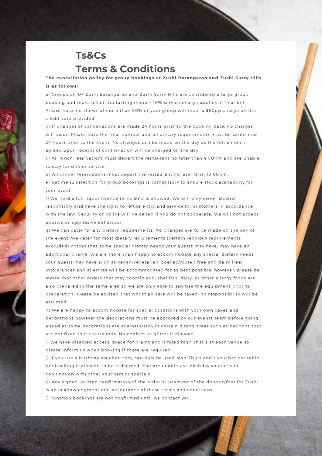#### **Ts&Cs Terms & Conditions**

**The cancellation policy for group bookings at Zushi Barangaroo and Zushi Surry Hills is as follows:**

a) Groups of 10+ Zushi Barangaroo and Zushi Surry Hills are considered a large group booking and must select the tasting menu + 10% service charge applies in final bill. Please note, no shows of more than 80% of your group will incur a \$50pp charge on the credit card provided.

b) If changes or cancellations are made 24 hours prior to the booking date, no charges will incur. Please note the final number and all dietary requirements must be confirmed 24 hours prior to the event. No changes can be made on the day as the full amount agreed upon receipt of confirmation will be charged on the day.

c) All lunch reservations must depart the restaurant no later than 4:00pm and are unable to stay for dinner service.

d) All dinner reservations must depart the restaurant no later than 10:00pm. e) Set menu selection for group bookings is compulsory to ensure stock availability for your event.

f) We hold a full liquor licence so no BYO is allowed. We will only serve alcohol responsibly and have the right to refuse entry and service for customers in accordance with the law. Security or police will be called if you do not cooperate. We will not accept abusive or aggressive behaviour.

g) We can cater for any dietary requirements. No changes are to be made on the day of the event. We cater for most dietary requirements (certain religious requirements excluded) noting that some special dietary needs your guests may have, may have an additional charge. We are more than happy to accommodate any special dietary needs your guests may have such as vegan/vegetarian, coeliac/gluten free and dairy free. Intolerances and allergies will be accommodated for as best possible, however, please be aware that other orders that may contain egg, shellfish, dairy, or other allergy foods are also prepared in the same area so we are only able to sanitise the equipment prior to preparation. Please be advised that whilst all care will be taken, no responsibility will be assumed.

h) We are happy to accommodate for special occasions with your own cakes and decorations however the decorations must be approved by our events team before going ahead as some decorations are against OH&S in certain dining areas such as balloons that are not fixed to it's surrounds. No confetti or glitter is allowed.

i) We have disabled access, space for prams and limited high chairs at each venue so please inform us when booking if these are required.

j) If you use a birthday voucher, they can only be used Mon-Thurs and 1 voucher per table per booking is allowed to be redeemed. You are unable use birthday vouchers in conjunction with other vouchers or specials.

k) Any signed, written confirmation of the order or payment of the deposit/fees for Zushi is an acknowledgment and acceptance of these terms and conditions.

**CONTRACTOR** 

l) Function bookings are not confirmed until we contact you.